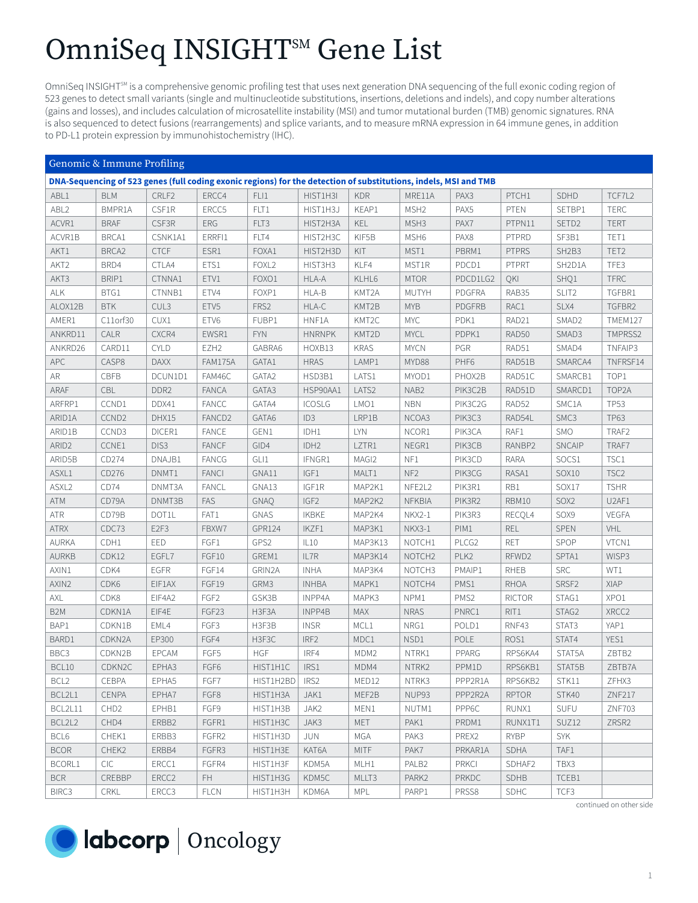## OmniSeq INSIGHT<sup>SM</sup> Gene List

OmniSeq INSIGHT<sup>5M</sup> is a comprehensive genomic profiling test that uses next generation DNA sequencing of the full exonic coding region of 523 genes to detect small variants (single and multinucleotide substitutions, insertions, deletions and indels), and copy number alterations (gains and losses), and includes calculation of microsatellite instability (MSI) and tumor mutational burden (TMB) genomic signatures. RNA is also sequenced to detect fusions (rearrangements) and splice variants, and to measure mRNA expression in 64 immune genes, in addition to PD-L1 protein expression by immunohistochemistry (IHC).

| Genomic & Immune Profiling                                                                                       |                   |                  |                    |                   |                  |                  |                    |                  |               |                                |                  |
|------------------------------------------------------------------------------------------------------------------|-------------------|------------------|--------------------|-------------------|------------------|------------------|--------------------|------------------|---------------|--------------------------------|------------------|
| DNA-Sequencing of 523 genes (full coding exonic regions) for the detection of substitutions, indels, MSI and TMB |                   |                  |                    |                   |                  |                  |                    |                  |               |                                |                  |
| ABL1                                                                                                             | <b>BLM</b>        | CRLF2            | ERCC4              | FLI1              | HIST1H3I         | <b>KDR</b>       | MRE11A             | PAX3             | PTCH1         | SDHD                           | TCF7L2           |
| ABL2                                                                                                             | BMPR1A            | CSF1R            | ERCC5              | FLT1              | HIST1H3J         | KEAP1            | MSH <sub>2</sub>   | PAX5             | PTEN          | SETBP1                         | <b>TERC</b>      |
| ACVR1                                                                                                            | <b>BRAF</b>       | CSF3R            | ERG                | FLT3              | HIST2H3A         | KEL              | MSH3               | PAX7             | PTPN11        | SETD <sub>2</sub>              | <b>TERT</b>      |
| ACVR1B                                                                                                           | BRCA1             | CSNK1A1          | ERRFI1             | FLT4              | HIST2H3C         | KIF5B            | MSH <sub>6</sub>   | PAX8             | PTPRD         | SF3B1                          | TET1             |
| AKT1                                                                                                             | BRCA <sub>2</sub> | <b>CTCF</b>      | ESR1               | FOXA1             | HIST2H3D         | KIT              | MST1               | PBRM1            | <b>PTPRS</b>  | SH <sub>2</sub> B <sub>3</sub> | TET2             |
| AKT2                                                                                                             | BRD4              | CTLA4            | ETS1               | FOXL <sub>2</sub> | HIST3H3          | KLF4             | MST1R              | PDCD1            | <b>PTPRT</b>  | SH2D1A                         | TFE3             |
| AKT3                                                                                                             | BRIP1             | CTNNA1           | ETV1               | FOXO1             | HLA-A            | KLHL6            | <b>MTOR</b>        | PDCD1LG2         | QKI           | SHQ1                           | <b>TFRC</b>      |
| <b>ALK</b>                                                                                                       | BTG1              | CTNNB1           | ETV4               | FOXP1             | HLA-B            | KMT2A            | <b>MUTYH</b>       | PDGFRA           | RAB35         | SLIT2                          | TGFBR1           |
| ALOX12B                                                                                                          | <b>BTK</b>        | CUL3             | ETV5               | FRS2              | HLA-C            | KMT2B            | <b>MYB</b>         | PDGFRB           | RAC1          | SLX4                           | TGFBR2           |
| AMER1                                                                                                            | C11orf30          | CUX1             | ETV6               | FUBP1             | HNF1A            | KMT2C            | MYC                | PDK1             | RAD21         | SMAD2                          | TMEM127          |
| ANKRD11                                                                                                          | CALR              | CXCR4            | EWSR1              | <b>FYN</b>        | <b>HNRNPK</b>    | KMT2D            | <b>MYCL</b>        | PDPK1            | RAD50         | SMAD3                          | TMPRSS2          |
| ANKRD26                                                                                                          | CARD11            | <b>CYLD</b>      | EZH <sub>2</sub>   | GABRA6            | HOXB13           | <b>KRAS</b>      | <b>MYCN</b>        | PGR              | RAD51         | SMAD4                          | TNFAIP3          |
| APC                                                                                                              | CASP8             | <b>DAXX</b>      | FAM175A            | GATA1             | <b>HRAS</b>      | LAMP1            | MYD88              | PHF6             | RAD51B        | SMARCA4                        | TNFRSF14         |
| AR                                                                                                               | CBFB              | DCUN1D1          | FAM46C             | GATA2             | HSD3B1           | LATS1            | MYOD1              | PHOX2B           | RAD51C        | SMARCB1                        | TOP1             |
| ARAF                                                                                                             | CBL               | DDR <sub>2</sub> | <b>FANCA</b>       | GATA3             | HSP90AA1         | LATS2            | NAB2               | PIK3C2B          | RAD51D        | SMARCD1                        | TOP2A            |
| ARFRP1                                                                                                           | CCND1             | DDX41            | <b>FANCC</b>       | GATA4             | <b>ICOSLG</b>    | LMO1             | <b>NBN</b>         | PIK3C2G          | RAD52         | SMC1A                          | <b>TP53</b>      |
| ARID1A                                                                                                           | CCND <sub>2</sub> | DHX15            | FANCD <sub>2</sub> | GATA6             | ID <sub>3</sub>  | LRP1B            | NCOA3              | PIK3C3           | RAD54L        | SMC3                           | <b>TP63</b>      |
| ARID1B                                                                                                           | CCND3             | DICER1           | <b>FANCE</b>       | GEN1              | IDH1             | LYN              | NCOR1              | PIK3CA           | RAF1          | <b>SMO</b>                     | TRAF2            |
| ARID <sub>2</sub>                                                                                                | CCNE1             | DIS3             | <b>FANCF</b>       | GID4              | IDH <sub>2</sub> | LZTR1            | NEGR1              | PIK3CB           | RANBP2        | <b>SNCAIP</b>                  | TRAF7            |
| ARID5B                                                                                                           | CD274             | DNAJB1           | FANCG              | GL11              | IFNGR1           | MAGI2            | NF1                | PIK3CD           | <b>RARA</b>   | SOCS1                          | TSC1             |
| ASXL1                                                                                                            | CD276             | DNMT1            | <b>FANCI</b>       | GNA11             | IGF1             | MALT1            | NF <sub>2</sub>    | PIK3CG           | RASA1         | SOX10                          | TSC <sub>2</sub> |
| ASXL <sub>2</sub>                                                                                                | CD74              | DNMT3A           | <b>FANCL</b>       | GNA13             | IGF1R            | MAP2K1           | NFE2L2             | PIK3R1           | RB1           | SOX17                          | <b>TSHR</b>      |
| ATM                                                                                                              | CD79A             | DNMT3B           | FAS                | <b>GNAQ</b>       | IGF <sub>2</sub> | MAP2K2           | NFKBIA             | PIK3R2           | RBM10         | SOX2                           | U2AF1            |
| ATR                                                                                                              | CD79B             | DOT1L            | FAT1               | <b>GNAS</b>       | <b>IKBKE</b>     | MAP2K4           | NKX2-1             | PIK3R3           | RECQL4        | SOX9                           | <b>VEGFA</b>     |
| <b>ATRX</b>                                                                                                      | CDC73             | E <sub>2F3</sub> | FBXW7              | GPR124            | IKZF1            | MAP3K1           | NKX3-1             | PIM1             | <b>REL</b>    | SPEN                           | VHL              |
| <b>AURKA</b>                                                                                                     | CDH1              | EED              | FGF1               | GPS2              | IL10             | MAP3K13          | NOTCH1             | PLCG2            | <b>RET</b>    | SPOP                           | VTCN1            |
| <b>AURKB</b>                                                                                                     | CDK12             | EGFL7            | FGF10              | GREM1             | IL7R             | MAP3K14          | NOTCH <sub>2</sub> | PLK <sub>2</sub> | RFWD2         | SPTA1                          | WISP3            |
| AXIN1                                                                                                            | CDK4              | EGFR             | FGF14              | GRIN2A            | <b>INHA</b>      | MAP3K4           | NOTCH3             | PMAIP1           | <b>RHEB</b>   | <b>SRC</b>                     | WT1              |
| AXIN2                                                                                                            | CDK6              | EIF1AX           | FGF19              | GRM3              | <b>INHBA</b>     | MAPK1            | NOTCH4             | PMS1             | <b>RHOA</b>   | SRSF2                          | <b>XIAP</b>      |
| AXL                                                                                                              | CDK8              | EIF4A2           | FGF <sub>2</sub>   | GSK3B             | INPP4A           | MAPK3            | NPM1               | PMS2             | <b>RICTOR</b> | STAG1                          | XPO1             |
| B <sub>2</sub> M                                                                                                 | CDKN1A            | EIF4E            | FGF23              | H3F3A             | INPP4B           | <b>MAX</b>       | <b>NRAS</b>        | PNRC1            | RIT1          | STAG2                          | XRCC2            |
| BAP1                                                                                                             | CDKN1B            | EML4             | FGF3               | H3F3B             | <b>INSR</b>      | MCL1             | NRG1               | POLD1            | RNF43         | STAT3                          | YAP1             |
| BARD1                                                                                                            | CDKN2A            | EP300            | FGF4               | H3F3C             | IRF <sub>2</sub> | MDC1             | NSD1               | POLE             | ROS1          | STAT4                          | YES1             |
| BBC3                                                                                                             | CDKN2B            | EPCAM            | FGF5               | <b>HGF</b>        | IRF4             | MDM <sub>2</sub> | NTRK1              | PPARG            | RPS6KA4       | STAT5A                         | ZBTB2            |
| BCL10                                                                                                            | CDKN2C            | EPHA3            | FGF6               | HIST1H1C          | $ $ IRS1         | MDM4             | NTRK2              | PPM1D            | RPS6KB1       | STAT5B                         | ZBTB7A           |
| BCL <sub>2</sub>                                                                                                 | CEBPA             | EPHA5            | FGF7               | HIST1H2BD         | IRS <sub>2</sub> | MED12            | NTRK3              | PPP2R1A          | RPS6KB2       | STK11                          | ZFHX3            |
| BCL2L1                                                                                                           | <b>CENPA</b>      | EPHA7            | FGF8               | HIST1H3A          | JAK1             | MEF2B            | NUP93              | PPP2R2A          | <b>RPTOR</b>  | STK40                          | <b>ZNF217</b>    |
| BCL2L11                                                                                                          | CHD <sub>2</sub>  | EPHB1            | FGF9               | HIST1H3B          | JAK2             | MEN1             | NUTM1              | PPP6C            | RUNX1         | <b>SUFU</b>                    | <b>ZNF703</b>    |
| BCL2L2                                                                                                           | CHD4              | ERBB2            | FGFR1              | HIST1H3C          | JAK3             | MET              | PAK1               | PRDM1            | RUNX1T1       | SUZ <sub>12</sub>              | ZRSR2            |
| BCL6                                                                                                             | CHEK1             | ERBB3            | FGFR2              | HIST1H3D          | JUN              | MGA              | PAK3               | PREX2            | <b>RYBP</b>   | <b>SYK</b>                     |                  |
| <b>BCOR</b>                                                                                                      | CHEK2             | ERBB4            | FGFR3              | HIST1H3E          | KAT6A            | <b>MITF</b>      | PAK7               | PRKAR1A          | SDHA          | TAF1                           |                  |
| BCORL1                                                                                                           | <b>CIC</b>        | ERCC1            | FGFR4              | HIST1H3F          | KDM5A            | MLH1             | PALB2              | <b>PRKCI</b>     | SDHAF2        | TBX3                           |                  |
| <b>BCR</b>                                                                                                       | CREBBP            | ERCC2            | FH.                | HIST1H3G          | KDM5C            | MLLT3            | PARK <sub>2</sub>  | PRKDC            | SDHB          | TCEB1                          |                  |
| BIRC3                                                                                                            | CRKL              | ERCC3            | <b>FLCN</b>        | HIST1H3H          | KDM6A            | MPL              | PARP1              | PRSS8            | <b>SDHC</b>   | TCF3                           |                  |

continued on other side